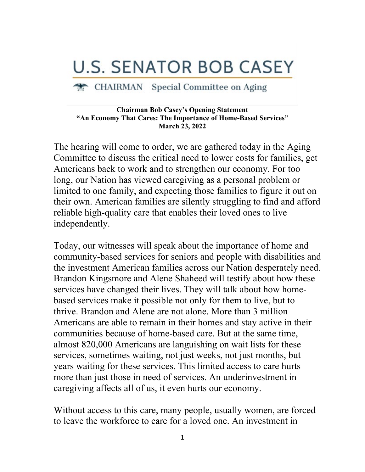## **U.S. SENATOR BOB CASEY**

## CHAIRMAN Special Committee on Aging

## **Chairman Bob Casey's Opening Statement "An Economy That Cares: The Importance of Home-Based Services" March 23, 2022**

The hearing will come to order, we are gathered today in the Aging Committee to discuss the critical need to lower costs for families, get Americans back to work and to strengthen our economy. For too long, our Nation has viewed caregiving as a personal problem or limited to one family, and expecting those families to figure it out on their own. American families are silently struggling to find and afford reliable high-quality care that enables their loved ones to live independently.

Today, our witnesses will speak about the importance of home and community-based services for seniors and people with disabilities and the investment American families across our Nation desperately need. Brandon Kingsmore and Alene Shaheed will testify about how these services have changed their lives. They will talk about how homebased services make it possible not only for them to live, but to thrive. Brandon and Alene are not alone. More than 3 million Americans are able to remain in their homes and stay active in their communities because of home-based care. But at the same time, almost 820,000 Americans are languishing on wait lists for these services, sometimes waiting, not just weeks, not just months, but years waiting for these services. This limited access to care hurts more than just those in need of services. An underinvestment in caregiving affects all of us, it even hurts our economy.

Without access to this care, many people, usually women, are forced to leave the workforce to care for a loved one. An investment in